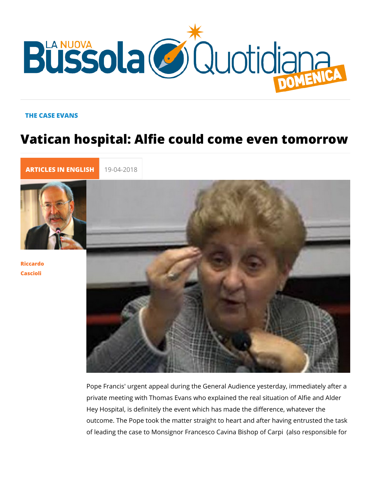## THE CASE EVANS

## Vatican hospital: Alfie could come eve

[ARTICLES IN E](https://lanuovabq.it/it/articles-in-english)N 19-04-2018

[Riccar](/it/riccardo-cascioli)do [Casci](/it/riccardo-cascioli)oli

> Pope Francis' urgent appeal during the General Audience yester private meeting with Thomas Evans who explained the real situ Hey Hospital, is definitely the event which has made the differ outcome. The Pope took the matter straight to heart and after of leading the case to Monsignor Francesco Cavina Bishop of (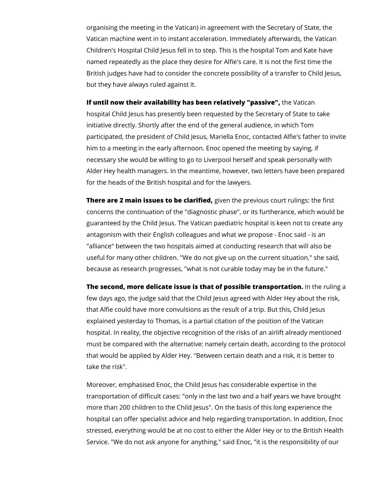organising the meeting in the Vatican) in agreement with the Secretary of State, the Vatican machine went in to instant acceleration. Immediately afterwards, the Vatican Children's Hospital Child Jesus fell in to step. This is the hospital Tom and Kate have named repeatedly as the place they desire for Alfie's care. It is not the first time the British judges have had to consider the concrete possibility of a transfer to Child Jesus, but they have always ruled against it.

**If until now their availability has been relatively "passive",** the Vatican hospital Child Jesus has presently been requested by the Secretary of State to take initiative directly. Shortly after the end of the general audience, in which Tom participated, the president of Child Jesus, Mariella Enoc, contacted Alfie's father to invite him to a meeting in the early afternoon. Enoc opened the meeting by saying, if necessary she would be willing to go to Liverpool herself and speak personally with Alder Hey health managers. In the meantime, however, two letters have been prepared for the heads of the British hospital and for the lawyers.

**There are 2 main issues to be clarified,** given the previous court rulings: the first concerns the continuation of the "diagnostic phase", or its furtherance, which would be guaranteed by the Child Jesus. The Vatican paediatric hospital is keen not to create any antagonism with their English colleagues and what we propose - Enoc said - is an "alliance" between the two hospitals aimed at conducting research that will also be useful for many other children. "We do not give up on the current situation," she said, because as research progresses, "what is not curable today may be in the future."

**The second, more delicate issue is that of possible transportation.** In the ruling a few days ago, the judge said that the Child Jesus agreed with Alder Hey about the risk, that Alfie could have more convulsions as the result of a trip. But this, Child Jesus explained yesterday to Thomas, is a partial citation of the position of the Vatican hospital. In reality, the objective recognition of the risks of an airlift already mentioned must be compared with the alternative: namely certain death, according to the protocol that would be applied by Alder Hey. "Between certain death and a risk, it is better to take the risk".

Moreover, emphasised Enoc, the Child Jesus has considerable expertise in the transportation of difficult cases: "only in the last two and a half years we have brought more than 200 children to the Child Jesus". On the basis of this long experience the hospital can offer specialist advice and help regarding transportation. In addition, Enoc stressed, everything would be at no cost to either the Alder Hey or to the British Health Service. "We do not ask anyone for anything," said Enoc, "it is the responsibility of our